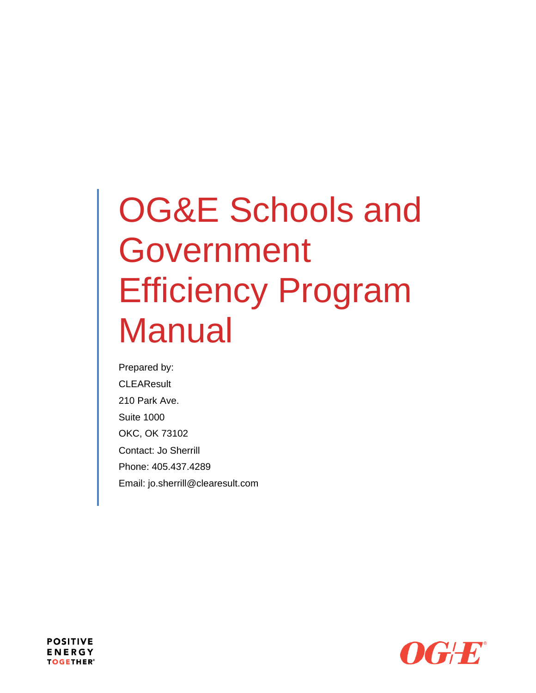# OG&E Schools and Government Efficiency Program **Manual**

Prepared by: **CLEAResult** 210 Park Ave. Suite 1000 OKC, OK 73102 Contact: Jo Sherrill Phone: 405.437.4289 Email: jo.sherrill@clearesult.com



**POSITIVE ENERGY TOGETHER®**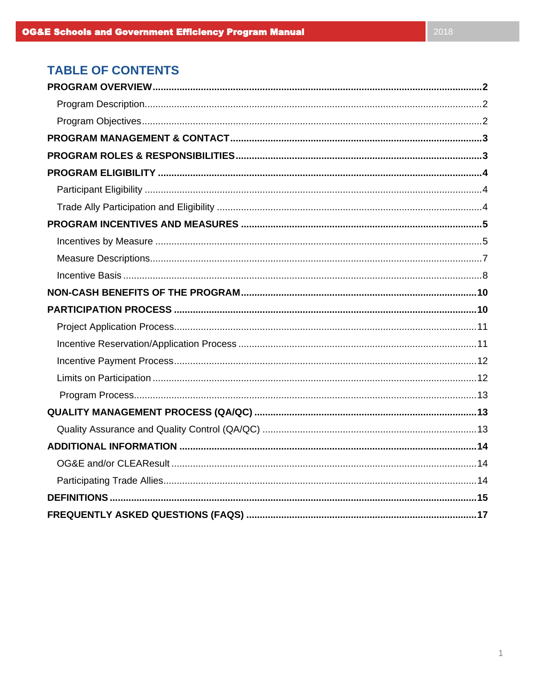# **TABLE OF CONTENTS**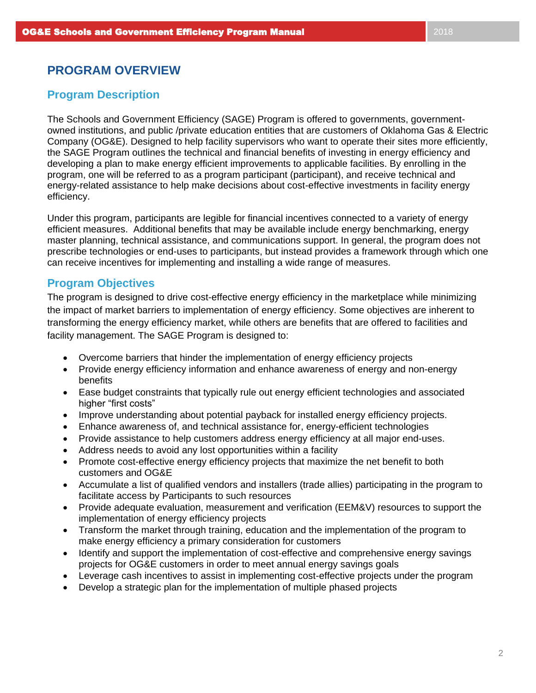# **PROGRAM OVERVIEW**

# **Program Description**

The Schools and Government Efficiency (SAGE) Program is offered to governments, governmentowned institutions, and public /private education entities that are customers of Oklahoma Gas & Electric Company (OG&E). Designed to help facility supervisors who want to operate their sites more efficiently, the SAGE Program outlines the technical and financial benefits of investing in energy efficiency and developing a plan to make energy efficient improvements to applicable facilities. By enrolling in the program, one will be referred to as a program participant (participant), and receive technical and energy-related assistance to help make decisions about cost-effective investments in facility energy efficiency.

Under this program, participants are legible for financial incentives connected to a variety of energy efficient measures. Additional benefits that may be available include energy benchmarking, energy master planning, technical assistance, and communications support. In general, the program does not prescribe technologies or end-uses to participants, but instead provides a framework through which one can receive incentives for implementing and installing a wide range of measures.

## **Program Objectives**

The program is designed to drive cost-effective energy efficiency in the marketplace while minimizing the impact of market barriers to implementation of energy efficiency. Some objectives are inherent to transforming the energy efficiency market, while others are benefits that are offered to facilities and facility management. The SAGE Program is designed to:

- Overcome barriers that hinder the implementation of energy efficiency projects
- Provide energy efficiency information and enhance awareness of energy and non-energy benefits
- Ease budget constraints that typically rule out energy efficient technologies and associated higher "first costs"
- Improve understanding about potential payback for installed energy efficiency projects.
- Enhance awareness of, and technical assistance for, energy-efficient technologies
- Provide assistance to help customers address energy efficiency at all major end-uses.
- Address needs to avoid any lost opportunities within a facility
- Promote cost-effective energy efficiency projects that maximize the net benefit to both customers and OG&E
- Accumulate a list of qualified vendors and installers (trade allies) participating in the program to facilitate access by Participants to such resources
- Provide adequate evaluation, measurement and verification (EEM&V) resources to support the implementation of energy efficiency projects
- Transform the market through training, education and the implementation of the program to make energy efficiency a primary consideration for customers
- Identify and support the implementation of cost-effective and comprehensive energy savings projects for OG&E customers in order to meet annual energy savings goals
- Leverage cash incentives to assist in implementing cost-effective projects under the program
- Develop a strategic plan for the implementation of multiple phased projects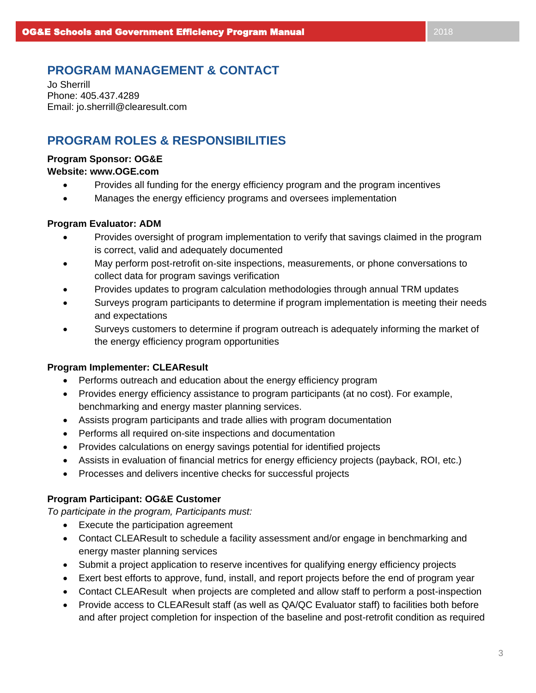# **PROGRAM MANAGEMENT & CONTACT**

Jo Sherrill Phone: 405.437.4289 Email: jo.sherrill@clearesult.com

# **PROGRAM ROLES & RESPONSIBILITIES**

## **Program Sponsor: OG&E**

## **Website: www.OGE.com**

- Provides all funding for the energy efficiency program and the program incentives
- Manages the energy efficiency programs and oversees implementation

## **Program Evaluator: ADM**

- Provides oversight of program implementation to verify that savings claimed in the program is correct, valid and adequately documented
- May perform post-retrofit on-site inspections, measurements, or phone conversations to collect data for program savings verification
- Provides updates to program calculation methodologies through annual TRM updates
- Surveys program participants to determine if program implementation is meeting their needs and expectations
- Surveys customers to determine if program outreach is adequately informing the market of the energy efficiency program opportunities

## **Program Implementer: CLEAResult**

- Performs outreach and education about the energy efficiency program
- Provides energy efficiency assistance to program participants (at no cost). For example, benchmarking and energy master planning services.
- Assists program participants and trade allies with program documentation
- Performs all required on-site inspections and documentation
- Provides calculations on energy savings potential for identified projects
- Assists in evaluation of financial metrics for energy efficiency projects (payback, ROI, etc.)
- Processes and delivers incentive checks for successful projects

## **Program Participant: OG&E Customer**

*To participate in the program, Participants must:*

- Execute the participation agreement
- Contact CLEAResult to schedule a facility assessment and/or engage in benchmarking and energy master planning services
- Submit a project application to reserve incentives for qualifying energy efficiency projects
- Exert best efforts to approve, fund, install, and report projects before the end of program year
- Contact CLEAResult when projects are completed and allow staff to perform a post-inspection
- Provide access to CLEAResult staff (as well as QA/QC Evaluator staff) to facilities both before and after project completion for inspection of the baseline and post-retrofit condition as required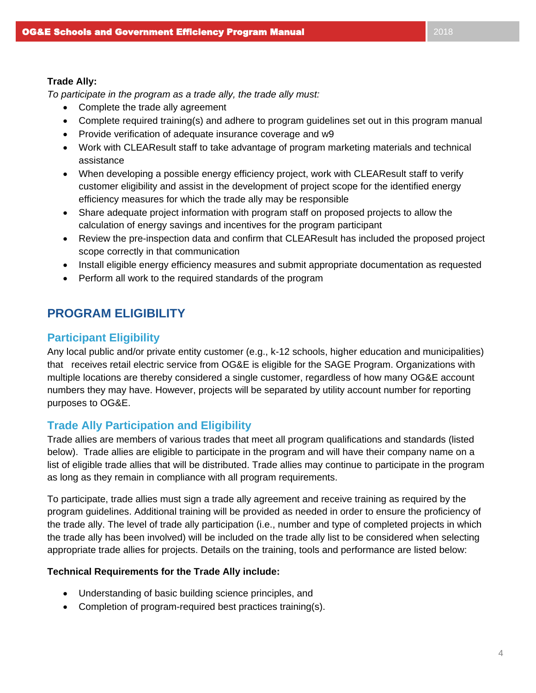*To participate in the program as a trade ally, the trade ally must:*

- Complete the trade ally agreement
- Complete required training(s) and adhere to program guidelines set out in this program manual
- Provide verification of adequate insurance coverage and w9
- Work with CLEAResult staff to take advantage of program marketing materials and technical assistance
- When developing a possible energy efficiency project, work with CLEAResult staff to verify customer eligibility and assist in the development of project scope for the identified energy efficiency measures for which the trade ally may be responsible
- Share adequate project information with program staff on proposed projects to allow the calculation of energy savings and incentives for the program participant
- Review the pre-inspection data and confirm that CLEAResult has included the proposed project scope correctly in that communication
- Install eligible energy efficiency measures and submit appropriate documentation as requested
- Perform all work to the required standards of the program

# **PROGRAM ELIGIBILITY**

# **Participant Eligibility**

Any local public and/or private entity customer (e.g., k-12 schools, higher education and municipalities) that receives retail electric service from OG&E is eligible for the SAGE Program. Organizations with multiple locations are thereby considered a single customer, regardless of how many OG&E account numbers they may have. However, projects will be separated by utility account number for reporting purposes to OG&E.

# **Trade Ally Participation and Eligibility**

Trade allies are members of various trades that meet all program qualifications and standards (listed below). Trade allies are eligible to participate in the program and will have their company name on a list of eligible trade allies that will be distributed. Trade allies may continue to participate in the program as long as they remain in compliance with all program requirements.

To participate, trade allies must sign a trade ally agreement and receive training as required by the program guidelines. Additional training will be provided as needed in order to ensure the proficiency of the trade ally. The level of trade ally participation (i.e., number and type of completed projects in which the trade ally has been involved) will be included on the trade ally list to be considered when selecting appropriate trade allies for projects. Details on the training, tools and performance are listed below:

## **Technical Requirements for the Trade Ally include:**

- Understanding of basic building science principles, and
- Completion of program-required best practices training(s).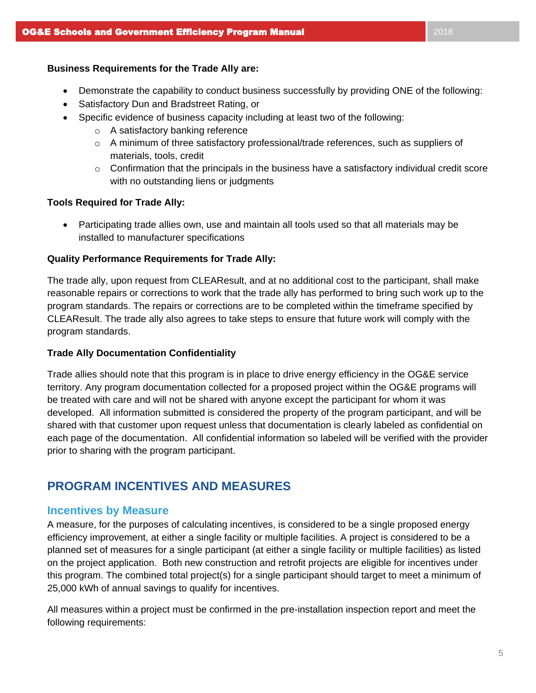- Demonstrate the capability to conduct business successfully by providing ONE of the following:
- Satisfactory Dun and Bradstreet Rating, or
- Specific evidence of business capacity including at least two of the following:
	- o A satisfactory banking reference
	- $\circ$  A minimum of three satisfactory professional/trade references, such as suppliers of materials, tools, credit
	- $\circ$  Confirmation that the principals in the business have a satisfactory individual credit score with no outstanding liens or judgments

#### **Tools Required for Trade Ally:**

• Participating trade allies own, use and maintain all tools used so that all materials may be installed to manufacturer specifications

### **Quality Performance Requirements for Trade Ally:**

The trade ally, upon request from CLEAResult, and at no additional cost to the participant, shall make reasonable repairs or corrections to work that the trade ally has performed to bring such work up to the program standards. The repairs or corrections are to be completed within the timeframe specified by CLEAResult. The trade ally also agrees to take steps to ensure that future work will comply with the program standards.

#### **Trade Ally Documentation Confidentiality**

Trade allies should note that this program is in place to drive energy efficiency in the OG&E service territory. Any program documentation collected for a proposed project within the OG&E programs will be treated with care and will not be shared with anyone except the participant for whom it was developed. All information submitted is considered the property of the program participant, and will be shared with that customer upon request unless that documentation is clearly labeled as confidential on each page of the documentation. All confidential information so labeled will be verified with the provider prior to sharing with the program participant.

# **PROGRAM INCENTIVES AND MEASURES**

## **Incentives by Measure**

A measure, for the purposes of calculating incentives, is considered to be a single proposed energy efficiency improvement, at either a single facility or multiple facilities. A project is considered to be a planned set of measures for a single participant (at either a single facility or multiple facilities) as listed on the project application. Both new construction and retrofit projects are eligible for incentives under this program. The combined total project(s) for a single participant should target to meet a minimum of 25,000 kWh of annual savings to qualify for incentives.

All measures within a project must be confirmed in the pre-installation inspection report and meet the following requirements: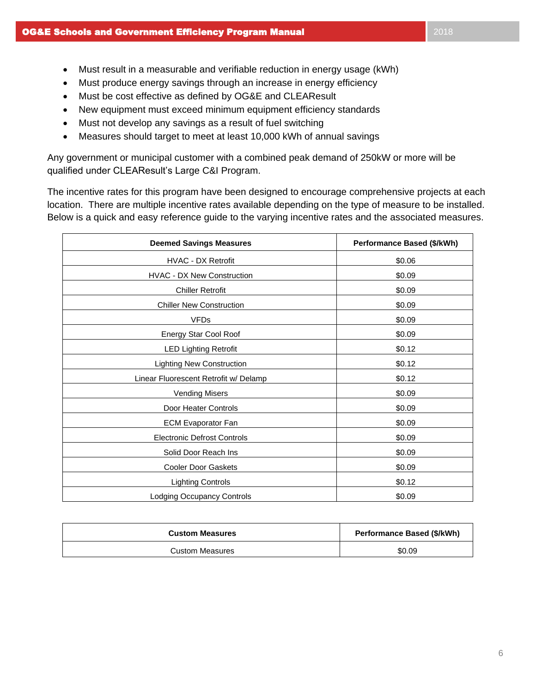- Must result in a measurable and verifiable reduction in energy usage (kWh)
- Must produce energy savings through an increase in energy efficiency
- Must be cost effective as defined by OG&E and CLEAResult
- New equipment must exceed minimum equipment efficiency standards
- Must not develop any savings as a result of fuel switching
- Measures should target to meet at least 10,000 kWh of annual savings

Any government or municipal customer with a combined peak demand of 250kW or more will be qualified under CLEAResult's Large C&I Program.

The incentive rates for this program have been designed to encourage comprehensive projects at each location. There are multiple incentive rates available depending on the type of measure to be installed. Below is a quick and easy reference guide to the varying incentive rates and the associated measures.

| <b>Deemed Savings Measures</b>        | Performance Based (\$/kWh) |
|---------------------------------------|----------------------------|
| <b>HVAC - DX Retrofit</b>             | \$0.06                     |
| <b>HVAC - DX New Construction</b>     | \$0.09                     |
| <b>Chiller Retrofit</b>               | \$0.09                     |
| <b>Chiller New Construction</b>       | \$0.09                     |
| <b>VFDs</b>                           | \$0.09                     |
| Energy Star Cool Roof                 | \$0.09                     |
| <b>LED Lighting Retrofit</b>          | \$0.12                     |
| <b>Lighting New Construction</b>      | \$0.12                     |
| Linear Fluorescent Retrofit w/ Delamp | \$0.12                     |
| <b>Vending Misers</b>                 | \$0.09                     |
| Door Heater Controls                  | \$0.09                     |
| <b>ECM Evaporator Fan</b>             | \$0.09                     |
| <b>Electronic Defrost Controls</b>    | \$0.09                     |
| Solid Door Reach Ins                  | \$0.09                     |
| <b>Cooler Door Gaskets</b>            | \$0.09                     |
| <b>Lighting Controls</b>              | \$0.12                     |
| <b>Lodging Occupancy Controls</b>     | \$0.09                     |

| <b>Custom Measures</b> | Performance Based (\$/kWh) |
|------------------------|----------------------------|
| <b>Custom Measures</b> | \$0.09                     |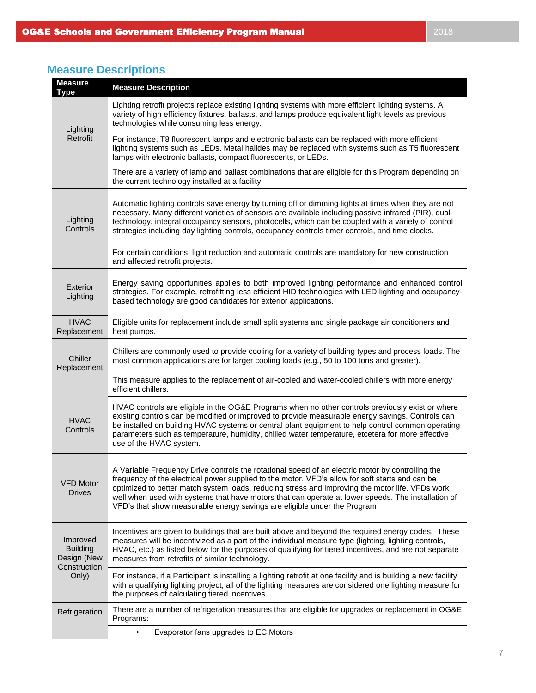#### **Type Measure Description** Lighting Retrofit Lighting retrofit projects replace existing lighting systems with more efficient lighting systems. A variety of high efficiency fixtures, ballasts, and lamps produce equivalent light levels as previous technologies while consuming less energy. For instance, T8 fluorescent lamps and electronic ballasts can be replaced with more efficient lighting systems such as LEDs. Metal halides may be replaced with systems such as T5 fluorescent lamps with electronic ballasts, compact fluorescents, or LEDs. There are a variety of lamp and ballast combinations that are eligible for this Program depending on the current technology installed at a facility. **Lighting Controls** Automatic lighting controls save energy by turning off or dimming lights at times when they are not necessary. Many different varieties of sensors are available including passive infrared (PIR), dualtechnology, integral occupancy sensors, photocells, which can be coupled with a variety of control strategies including day lighting controls, occupancy controls timer controls, and time clocks. For certain conditions, light reduction and automatic controls are mandatory for new construction and affected retrofit projects. Exterior Lighting Energy saving opportunities applies to both improved lighting performance and enhanced control strategies. For example, retrofitting less efficient HID technologies with LED lighting and occupancybased technology are good candidates for exterior applications. HVAC Replacement Eligible units for replacement include small split systems and single package air conditioners and heat pumps. **Chiller** Replacement Chillers are commonly used to provide cooling for a variety of building types and process loads. The most common applications are for larger cooling loads (e.g., 50 to 100 tons and greater). This measure applies to the replacement of air-cooled and water-cooled chillers with more energy efficient chillers. HVAC **Controls** HVAC controls are eligible in the OG&E Programs when no other controls previously exist or where existing controls can be modified or improved to provide measurable energy savings. Controls can be installed on building HVAC systems or central plant equipment to help control common operating parameters such as temperature, humidity, chilled water temperature, etcetera for more effective use of the HVAC system. VFD Motor Drives A Variable Frequency Drive controls the rotational speed of an electric motor by controlling the frequency of the electrical power supplied to the motor. VFD's allow for soft starts and can be optimized to better match system loads, reducing stress and improving the motor life. VFDs work well when used with systems that have motors that can operate at lower speeds. The installation of VFD's that show measurable energy savings are eligible under the Program Improved Building Design (New **Construction** Only) Incentives are given to buildings that are built above and beyond the required energy codes. These measures will be incentivized as a part of the individual measure type (lighting, lighting controls, HVAC, etc.) as listed below for the purposes of qualifying for tiered incentives, and are not separate measures from retrofits of similar technology. For instance, if a Participant is installing a lighting retrofit at one facility and is building a new facility with a qualifying lighting project, all of the lighting measures are considered one lighting measure for the purposes of calculating tiered incentives. Refrigeration | There are a number of refrigeration measures that are eligible for upgrades or replacement in OG&E Programs:

## **Measure Descriptions**

**Measure** 

• Evaporator fans upgrades to EC Motors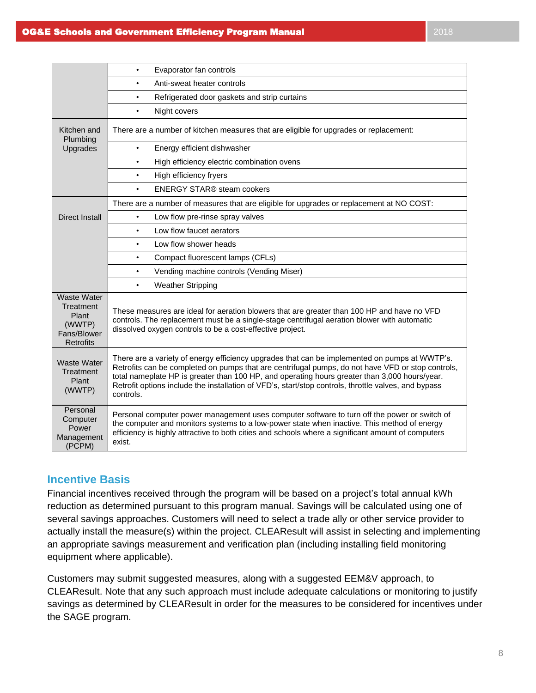|                                                                                | Evaporator fan controls<br>$\bullet$                                                                                                                                                                                                                                                                                                                                                                                     |
|--------------------------------------------------------------------------------|--------------------------------------------------------------------------------------------------------------------------------------------------------------------------------------------------------------------------------------------------------------------------------------------------------------------------------------------------------------------------------------------------------------------------|
|                                                                                | Anti-sweat heater controls<br>$\bullet$                                                                                                                                                                                                                                                                                                                                                                                  |
|                                                                                | Refrigerated door gaskets and strip curtains<br>$\bullet$                                                                                                                                                                                                                                                                                                                                                                |
|                                                                                | Night covers<br>$\bullet$                                                                                                                                                                                                                                                                                                                                                                                                |
| Kitchen and<br>Plumbing                                                        | There are a number of kitchen measures that are eligible for upgrades or replacement:                                                                                                                                                                                                                                                                                                                                    |
| Upgrades                                                                       | Energy efficient dishwasher<br>$\bullet$                                                                                                                                                                                                                                                                                                                                                                                 |
|                                                                                | High efficiency electric combination ovens<br>$\bullet$                                                                                                                                                                                                                                                                                                                                                                  |
|                                                                                | High efficiency fryers<br>$\bullet$                                                                                                                                                                                                                                                                                                                                                                                      |
|                                                                                | <b>ENERGY STAR® steam cookers</b><br>$\bullet$                                                                                                                                                                                                                                                                                                                                                                           |
|                                                                                | There are a number of measures that are eligible for upgrades or replacement at NO COST:                                                                                                                                                                                                                                                                                                                                 |
| <b>Direct Install</b>                                                          | Low flow pre-rinse spray valves<br>$\bullet$                                                                                                                                                                                                                                                                                                                                                                             |
|                                                                                | Low flow faucet aerators<br>$\bullet$                                                                                                                                                                                                                                                                                                                                                                                    |
|                                                                                | Low flow shower heads<br>$\bullet$                                                                                                                                                                                                                                                                                                                                                                                       |
|                                                                                | Compact fluorescent lamps (CFLs)<br>$\bullet$                                                                                                                                                                                                                                                                                                                                                                            |
|                                                                                | Vending machine controls (Vending Miser)<br>$\bullet$                                                                                                                                                                                                                                                                                                                                                                    |
|                                                                                | <b>Weather Stripping</b><br>$\bullet$                                                                                                                                                                                                                                                                                                                                                                                    |
| <b>Waste Water</b><br>Treatment<br>Plant<br>(WWTP)<br>Fans/Blower<br>Retrofits | These measures are ideal for aeration blowers that are greater than 100 HP and have no VFD<br>controls. The replacement must be a single-stage centrifugal aeration blower with automatic<br>dissolved oxygen controls to be a cost-effective project.                                                                                                                                                                   |
| <b>Waste Water</b><br>Treatment<br>Plant<br>(WWTP)                             | There are a variety of energy efficiency upgrades that can be implemented on pumps at WWTP's.<br>Retrofits can be completed on pumps that are centrifugal pumps, do not have VFD or stop controls,<br>total nameplate HP is greater than 100 HP, and operating hours greater than 3,000 hours/year.<br>Retrofit options include the installation of VFD's, start/stop controls, throttle valves, and bypass<br>controls. |
| Personal<br>Computer<br>Power<br>Management<br>(PCPM)                          | Personal computer power management uses computer software to turn off the power or switch of<br>the computer and monitors systems to a low-power state when inactive. This method of energy<br>efficiency is highly attractive to both cities and schools where a significant amount of computers<br>exist.                                                                                                              |

# **Incentive Basis**

Financial incentives received through the program will be based on a project's total annual kWh reduction as determined pursuant to this program manual. Savings will be calculated using one of several savings approaches. Customers will need to select a trade ally or other service provider to actually install the measure(s) within the project. CLEAResult will assist in selecting and implementing an appropriate savings measurement and verification plan (including installing field monitoring equipment where applicable).

Customers may submit suggested measures, along with a suggested EEM&V approach, to CLEAResult. Note that any such approach must include adequate calculations or monitoring to justify savings as determined by CLEAResult in order for the measures to be considered for incentives under the SAGE program.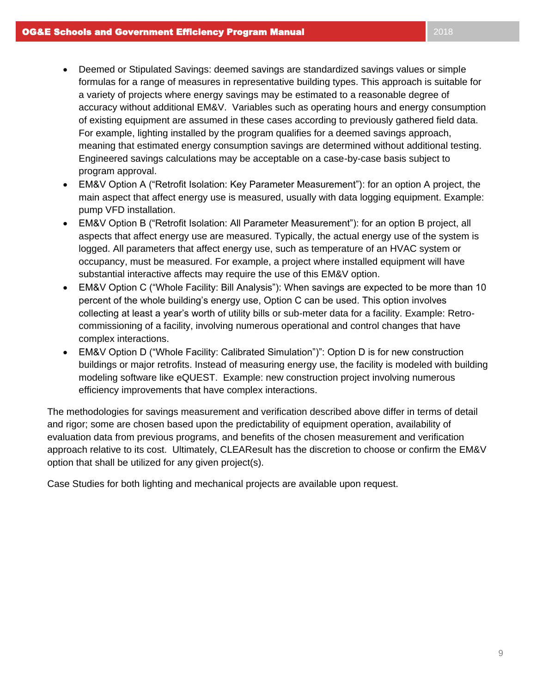- Deemed or Stipulated Savings: deemed savings are standardized savings values or simple formulas for a range of measures in representative building types. This approach is suitable for a variety of projects where energy savings may be estimated to a reasonable degree of accuracy without additional EM&V. Variables such as operating hours and energy consumption of existing equipment are assumed in these cases according to previously gathered field data. For example, lighting installed by the program qualifies for a deemed savings approach, meaning that estimated energy consumption savings are determined without additional testing. Engineered savings calculations may be acceptable on a case-by-case basis subject to program approval.
- EM&V Option A ("Retrofit Isolation: Key Parameter Measurement"): for an option A project, the main aspect that affect energy use is measured, usually with data logging equipment. Example: pump VFD installation.
- EM&V Option B ("Retrofit Isolation: All Parameter Measurement"): for an option B project, all aspects that affect energy use are measured. Typically, the actual energy use of the system is logged. All parameters that affect energy use, such as temperature of an HVAC system or occupancy, must be measured. For example, a project where installed equipment will have substantial interactive affects may require the use of this EM&V option.
- EM&V Option C ("Whole Facility: Bill Analysis"): When savings are expected to be more than 10 percent of the whole building's energy use, Option C can be used. This option involves collecting at least a year's worth of utility bills or sub-meter data for a facility. Example: Retrocommissioning of a facility, involving numerous operational and control changes that have complex interactions.
- EM&V Option D ("Whole Facility: Calibrated Simulation")": Option D is for new construction buildings or major retrofits. Instead of measuring energy use, the facility is modeled with building modeling software like eQUEST. Example: new construction project involving numerous efficiency improvements that have complex interactions.

The methodologies for savings measurement and verification described above differ in terms of detail and rigor; some are chosen based upon the predictability of equipment operation, availability of evaluation data from previous programs, and benefits of the chosen measurement and verification approach relative to its cost. Ultimately, CLEAResult has the discretion to choose or confirm the EM&V option that shall be utilized for any given project(s).

Case Studies for both lighting and mechanical projects are available upon request.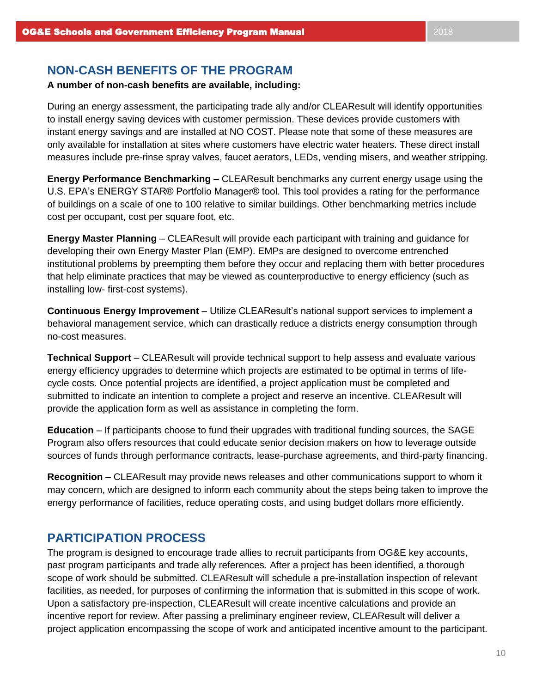# **NON-CASH BENEFITS OF THE PROGRAM**

## **A number of non-cash benefits are available, including:**

During an energy assessment, the participating trade ally and/or CLEAResult will identify opportunities to install energy saving devices with customer permission. These devices provide customers with instant energy savings and are installed at NO COST. Please note that some of these measures are only available for installation at sites where customers have electric water heaters. These direct install measures include pre-rinse spray valves, faucet aerators, LEDs, vending misers, and weather stripping.

**Energy Performance Benchmarking** – CLEAResult benchmarks any current energy usage using the U.S. EPA's ENERGY STAR® Portfolio Manager® tool. This tool provides a rating for the performance of buildings on a scale of one to 100 relative to similar buildings. Other benchmarking metrics include cost per occupant, cost per square foot, etc.

**Energy Master Planning** – CLEAResult will provide each participant with training and guidance for developing their own Energy Master Plan (EMP). EMPs are designed to overcome entrenched institutional problems by preempting them before they occur and replacing them with better procedures that help eliminate practices that may be viewed as counterproductive to energy efficiency (such as installing low- first-cost systems).

**Continuous Energy Improvement** – Utilize CLEAResult's national support services to implement a behavioral management service, which can drastically reduce a districts energy consumption through no-cost measures.

**Technical Support** – CLEAResult will provide technical support to help assess and evaluate various energy efficiency upgrades to determine which projects are estimated to be optimal in terms of lifecycle costs. Once potential projects are identified, a project application must be completed and submitted to indicate an intention to complete a project and reserve an incentive. CLEAResult will provide the application form as well as assistance in completing the form.

**Education** – If participants choose to fund their upgrades with traditional funding sources, the SAGE Program also offers resources that could educate senior decision makers on how to leverage outside sources of funds through performance contracts, lease-purchase agreements, and third-party financing.

**Recognition** – CLEAResult may provide news releases and other communications support to whom it may concern, which are designed to inform each community about the steps being taken to improve the energy performance of facilities, reduce operating costs, and using budget dollars more efficiently.

# **PARTICIPATION PROCESS**

The program is designed to encourage trade allies to recruit participants from OG&E key accounts, past program participants and trade ally references. After a project has been identified, a thorough scope of work should be submitted. CLEAResult will schedule a pre-installation inspection of relevant facilities, as needed, for purposes of confirming the information that is submitted in this scope of work. Upon a satisfactory pre-inspection, CLEAResult will create incentive calculations and provide an incentive report for review. After passing a preliminary engineer review, CLEAResult will deliver a project application encompassing the scope of work and anticipated incentive amount to the participant.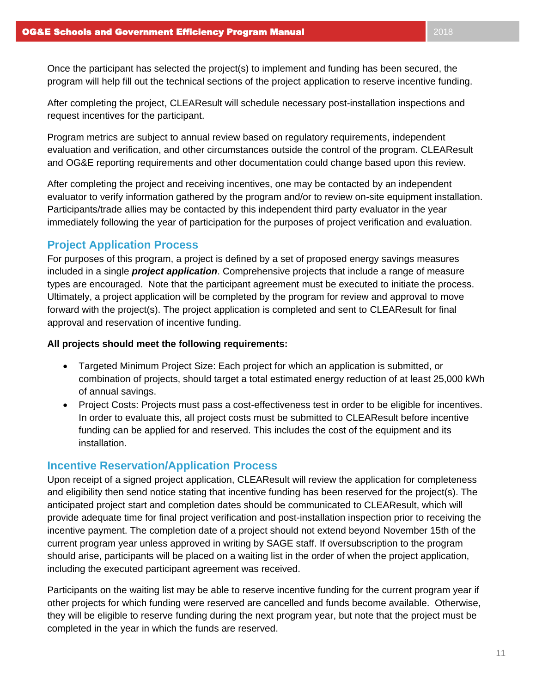After completing the project, CLEAResult will schedule necessary post-installation inspections and request incentives for the participant.

Program metrics are subject to annual review based on regulatory requirements, independent evaluation and verification, and other circumstances outside the control of the program. CLEAResult and OG&E reporting requirements and other documentation could change based upon this review.

After completing the project and receiving incentives, one may be contacted by an independent evaluator to verify information gathered by the program and/or to review on-site equipment installation. Participants/trade allies may be contacted by this independent third party evaluator in the year immediately following the year of participation for the purposes of project verification and evaluation.

# **Project Application Process**

For purposes of this program, a project is defined by a set of proposed energy savings measures included in a single *project application*. Comprehensive projects that include a range of measure types are encouraged. Note that the participant agreement must be executed to initiate the process. Ultimately, a project application will be completed by the program for review and approval to move forward with the project(s). The project application is completed and sent to CLEAResult for final approval and reservation of incentive funding.

## **All projects should meet the following requirements:**

- Targeted Minimum Project Size: Each project for which an application is submitted, or combination of projects, should target a total estimated energy reduction of at least 25,000 kWh of annual savings.
- Project Costs: Projects must pass a cost-effectiveness test in order to be eligible for incentives. In order to evaluate this, all project costs must be submitted to CLEAResult before incentive funding can be applied for and reserved. This includes the cost of the equipment and its installation.

# **Incentive Reservation/Application Process**

Upon receipt of a signed project application, CLEAResult will review the application for completeness and eligibility then send notice stating that incentive funding has been reserved for the project(s). The anticipated project start and completion dates should be communicated to CLEAResult, which will provide adequate time for final project verification and post-installation inspection prior to receiving the incentive payment. The completion date of a project should not extend beyond November 15th of the current program year unless approved in writing by SAGE staff. If oversubscription to the program should arise, participants will be placed on a waiting list in the order of when the project application, including the executed participant agreement was received.

Participants on the waiting list may be able to reserve incentive funding for the current program year if other projects for which funding were reserved are cancelled and funds become available. Otherwise, they will be eligible to reserve funding during the next program year, but note that the project must be completed in the year in which the funds are reserved.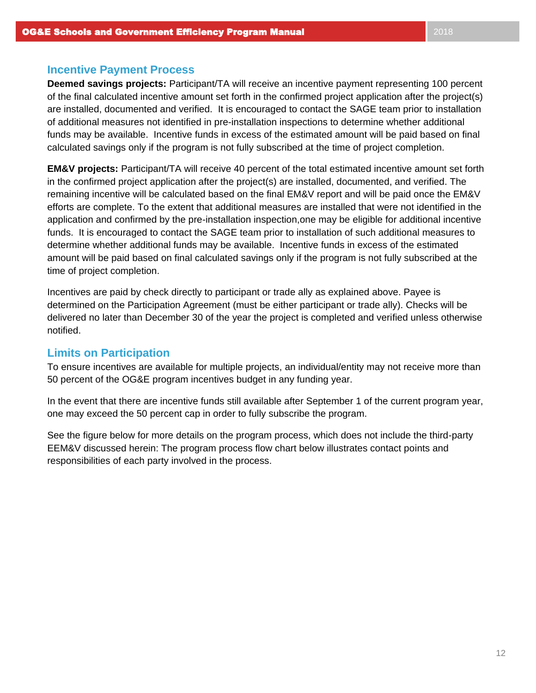## **Incentive Payment Process**

**Deemed savings projects:** Participant/TA will receive an incentive payment representing 100 percent of the final calculated incentive amount set forth in the confirmed project application after the project(s) are installed, documented and verified. It is encouraged to contact the SAGE team prior to installation of additional measures not identified in pre-installation inspections to determine whether additional funds may be available. Incentive funds in excess of the estimated amount will be paid based on final calculated savings only if the program is not fully subscribed at the time of project completion.

**EM&V projects:** Participant/TA will receive 40 percent of the total estimated incentive amount set forth in the confirmed project application after the project(s) are installed, documented, and verified. The remaining incentive will be calculated based on the final EM&V report and will be paid once the EM&V efforts are complete. To the extent that additional measures are installed that were not identified in the application and confirmed by the pre-installation inspection,one may be eligible for additional incentive funds. It is encouraged to contact the SAGE team prior to installation of such additional measures to determine whether additional funds may be available. Incentive funds in excess of the estimated amount will be paid based on final calculated savings only if the program is not fully subscribed at the time of project completion.

Incentives are paid by check directly to participant or trade ally as explained above. Payee is determined on the Participation Agreement (must be either participant or trade ally). Checks will be delivered no later than December 30 of the year the project is completed and verified unless otherwise notified.

# **Limits on Participation**

To ensure incentives are available for multiple projects, an individual/entity may not receive more than 50 percent of the OG&E program incentives budget in any funding year.

In the event that there are incentive funds still available after September 1 of the current program year, one may exceed the 50 percent cap in order to fully subscribe the program.

See the figure below for more details on the program process, which does not include the third-party EEM&V discussed herein: The program process flow chart below illustrates contact points and responsibilities of each party involved in the process.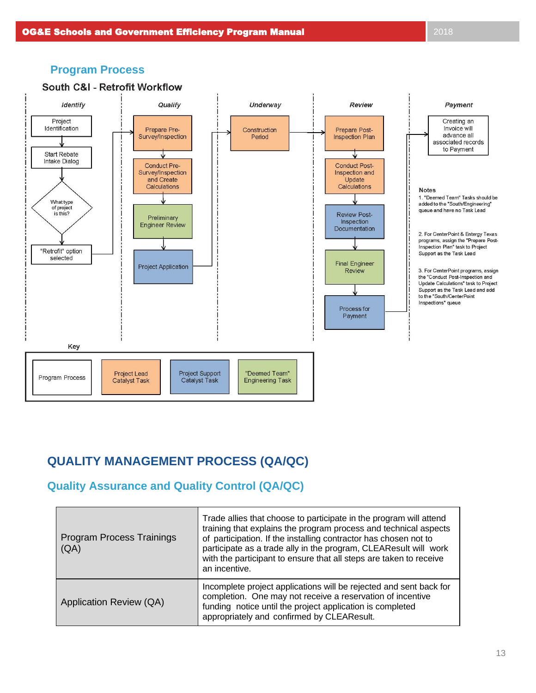## **OG&E Schools and Government Efficiency Program Manual 2018 2018** 2018

# **Program Process**



# **QUALITY MANAGEMENT PROCESS (QA/QC)**

# **Quality Assurance and Quality Control (QA/QC)**

П

| <b>Program Process Trainings</b><br>(AA) | Trade allies that choose to participate in the program will attend<br>training that explains the program process and technical aspects<br>of participation. If the installing contractor has chosen not to<br>participate as a trade ally in the program, CLEAResult will work<br>with the participant to ensure that all steps are taken to receive<br>an incentive. |
|------------------------------------------|-----------------------------------------------------------------------------------------------------------------------------------------------------------------------------------------------------------------------------------------------------------------------------------------------------------------------------------------------------------------------|
| Application Review (QA)                  | Incomplete project applications will be rejected and sent back for<br>completion. One may not receive a reservation of incentive<br>funding notice until the project application is completed<br>appropriately and confirmed by CLEAResult.                                                                                                                           |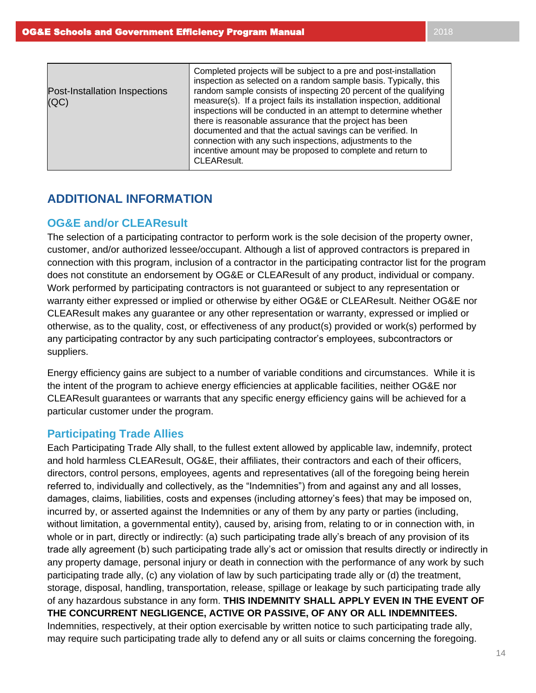| Post-Installation Inspections<br>(QC) | Completed projects will be subject to a pre and post-installation<br>inspection as selected on a random sample basis. Typically, this<br>random sample consists of inspecting 20 percent of the qualifying<br>measure(s). If a project fails its installation inspection, additional<br>inspections will be conducted in an attempt to determine whether<br>there is reasonable assurance that the project has been<br>documented and that the actual savings can be verified. In<br>connection with any such inspections, adjustments to the<br>incentive amount may be proposed to complete and return to<br>CLEAResult. |
|---------------------------------------|----------------------------------------------------------------------------------------------------------------------------------------------------------------------------------------------------------------------------------------------------------------------------------------------------------------------------------------------------------------------------------------------------------------------------------------------------------------------------------------------------------------------------------------------------------------------------------------------------------------------------|
|---------------------------------------|----------------------------------------------------------------------------------------------------------------------------------------------------------------------------------------------------------------------------------------------------------------------------------------------------------------------------------------------------------------------------------------------------------------------------------------------------------------------------------------------------------------------------------------------------------------------------------------------------------------------------|

# **ADDITIONAL INFORMATION**

## **OG&E and/or CLEAResult**

The selection of a participating contractor to perform work is the sole decision of the property owner, customer, and/or authorized lessee/occupant. Although a list of approved contractors is prepared in connection with this program, inclusion of a contractor in the participating contractor list for the program does not constitute an endorsement by OG&E or CLEAResult of any product, individual or company. Work performed by participating contractors is not guaranteed or subject to any representation or warranty either expressed or implied or otherwise by either OG&E or CLEAResult. Neither OG&E nor CLEAResult makes any guarantee or any other representation or warranty, expressed or implied or otherwise, as to the quality, cost, or effectiveness of any product(s) provided or work(s) performed by any participating contractor by any such participating contractor's employees, subcontractors or suppliers.

Energy efficiency gains are subject to a number of variable conditions and circumstances. While it is the intent of the program to achieve energy efficiencies at applicable facilities, neither OG&E nor CLEAResult guarantees or warrants that any specific energy efficiency gains will be achieved for a particular customer under the program.

## **Participating Trade Allies**

Each Participating Trade Ally shall, to the fullest extent allowed by applicable law, indemnify, protect and hold harmless CLEAResult, OG&E, their affiliates, their contractors and each of their officers, directors, control persons, employees, agents and representatives (all of the foregoing being herein referred to, individually and collectively, as the "Indemnities") from and against any and all losses, damages, claims, liabilities, costs and expenses (including attorney's fees) that may be imposed on, incurred by, or asserted against the Indemnities or any of them by any party or parties (including, without limitation, a governmental entity), caused by, arising from, relating to or in connection with, in whole or in part, directly or indirectly: (a) such participating trade ally's breach of any provision of its trade ally agreement (b) such participating trade ally's act or omission that results directly or indirectly in any property damage, personal injury or death in connection with the performance of any work by such participating trade ally, (c) any violation of law by such participating trade ally or (d) the treatment, storage, disposal, handling, transportation, release, spillage or leakage by such participating trade ally of any hazardous substance in any form. **THIS INDEMNITY SHALL APPLY EVEN IN THE EVENT OF THE CONCURRENT NEGLIGENCE, ACTIVE OR PASSIVE, OF ANY OR ALL INDEMNITEES.** Indemnities, respectively, at their option exercisable by written notice to such participating trade ally, may require such participating trade ally to defend any or all suits or claims concerning the foregoing.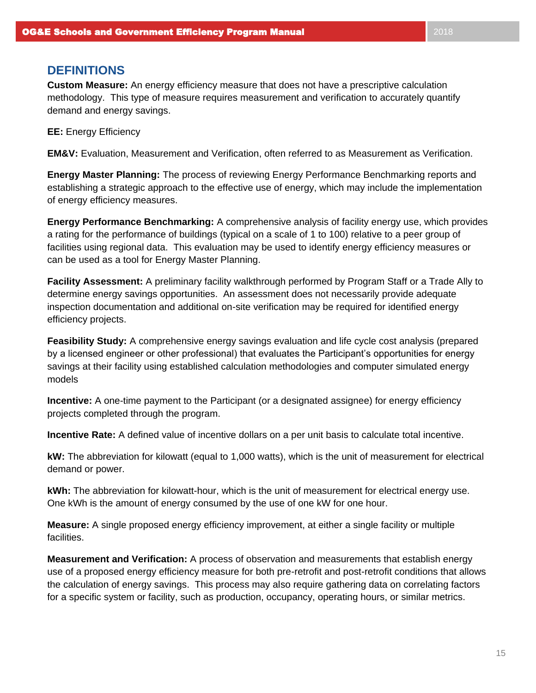# **DEFINITIONS**

**Custom Measure:** An energy efficiency measure that does not have a prescriptive calculation methodology. This type of measure requires measurement and verification to accurately quantify demand and energy savings.

**EE:** Energy Efficiency

**EM&V:** Evaluation, Measurement and Verification, often referred to as Measurement as Verification.

**Energy Master Planning:** The process of reviewing Energy Performance Benchmarking reports and establishing a strategic approach to the effective use of energy, which may include the implementation of energy efficiency measures.

**Energy Performance Benchmarking:** A comprehensive analysis of facility energy use, which provides a rating for the performance of buildings (typical on a scale of 1 to 100) relative to a peer group of facilities using regional data. This evaluation may be used to identify energy efficiency measures or can be used as a tool for Energy Master Planning.

**Facility Assessment:** A preliminary facility walkthrough performed by Program Staff or a Trade Ally to determine energy savings opportunities. An assessment does not necessarily provide adequate inspection documentation and additional on-site verification may be required for identified energy efficiency projects.

**Feasibility Study:** A comprehensive energy savings evaluation and life cycle cost analysis (prepared by a licensed engineer or other professional) that evaluates the Participant's opportunities for energy savings at their facility using established calculation methodologies and computer simulated energy models

**Incentive:** A one-time payment to the Participant (or a designated assignee) for energy efficiency projects completed through the program.

**Incentive Rate:** A defined value of incentive dollars on a per unit basis to calculate total incentive.

**kW:** The abbreviation for kilowatt (equal to 1,000 watts), which is the unit of measurement for electrical demand or power.

**kWh:** The abbreviation for kilowatt-hour, which is the unit of measurement for electrical energy use. One kWh is the amount of energy consumed by the use of one kW for one hour.

**Measure:** A single proposed energy efficiency improvement, at either a single facility or multiple facilities.

**Measurement and Verification:** A process of observation and measurements that establish energy use of a proposed energy efficiency measure for both pre-retrofit and post-retrofit conditions that allows the calculation of energy savings. This process may also require gathering data on correlating factors for a specific system or facility, such as production, occupancy, operating hours, or similar metrics.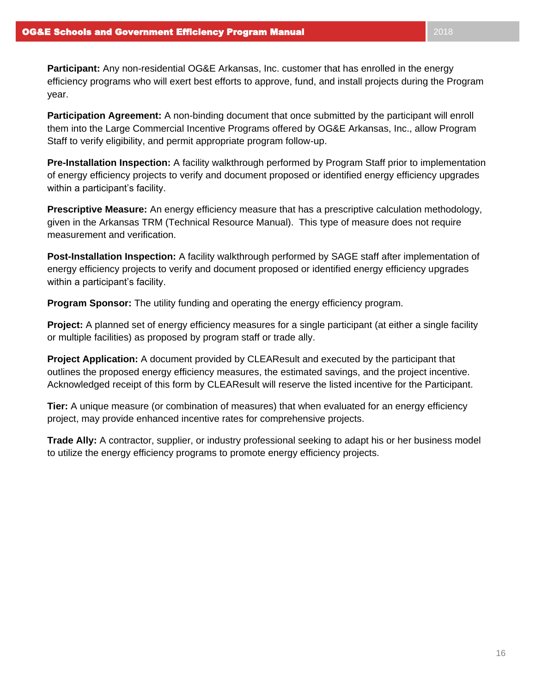**Participation Agreement:** A non-binding document that once submitted by the participant will enroll them into the Large Commercial Incentive Programs offered by OG&E Arkansas, Inc., allow Program Staff to verify eligibility, and permit appropriate program follow-up.

**Pre-Installation Inspection:** A facility walkthrough performed by Program Staff prior to implementation of energy efficiency projects to verify and document proposed or identified energy efficiency upgrades within a participant's facility.

**Prescriptive Measure:** An energy efficiency measure that has a prescriptive calculation methodology, given in the Arkansas TRM (Technical Resource Manual). This type of measure does not require measurement and verification.

**Post-Installation Inspection:** A facility walkthrough performed by SAGE staff after implementation of energy efficiency projects to verify and document proposed or identified energy efficiency upgrades within a participant's facility.

**Program Sponsor:** The utility funding and operating the energy efficiency program.

**Project:** A planned set of energy efficiency measures for a single participant (at either a single facility or multiple facilities) as proposed by program staff or trade ally.

**Project Application:** A document provided by CLEAResult and executed by the participant that outlines the proposed energy efficiency measures, the estimated savings, and the project incentive. Acknowledged receipt of this form by CLEAResult will reserve the listed incentive for the Participant.

**Tier:** A unique measure (or combination of measures) that when evaluated for an energy efficiency project, may provide enhanced incentive rates for comprehensive projects.

**Trade Ally:** A contractor, supplier, or industry professional seeking to adapt his or her business model to utilize the energy efficiency programs to promote energy efficiency projects.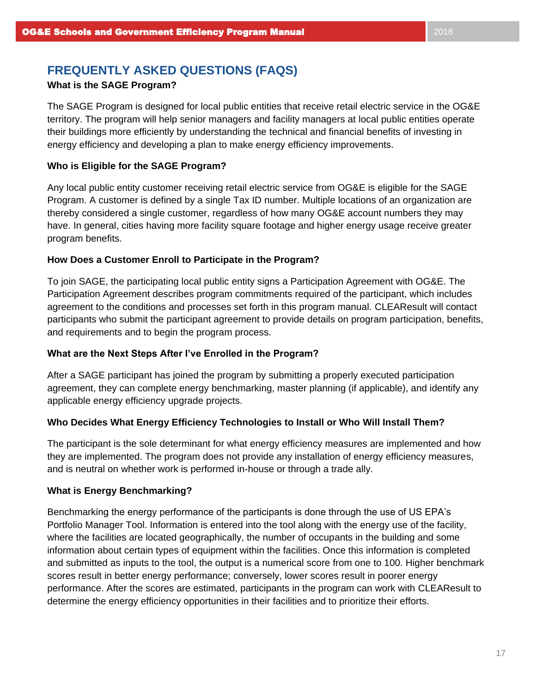# **FREQUENTLY ASKED QUESTIONS (FAQS)**

## **What is the SAGE Program?**

The SAGE Program is designed for local public entities that receive retail electric service in the OG&E territory. The program will help senior managers and facility managers at local public entities operate their buildings more efficiently by understanding the technical and financial benefits of investing in energy efficiency and developing a plan to make energy efficiency improvements.

### **Who is Eligible for the SAGE Program?**

Any local public entity customer receiving retail electric service from OG&E is eligible for the SAGE Program. A customer is defined by a single Tax ID number. Multiple locations of an organization are thereby considered a single customer, regardless of how many OG&E account numbers they may have. In general, cities having more facility square footage and higher energy usage receive greater program benefits.

## **How Does a Customer Enroll to Participate in the Program?**

To join SAGE, the participating local public entity signs a Participation Agreement with OG&E. The Participation Agreement describes program commitments required of the participant, which includes agreement to the conditions and processes set forth in this program manual. CLEAResult will contact participants who submit the participant agreement to provide details on program participation, benefits, and requirements and to begin the program process.

## **What are the Next Steps After I've Enrolled in the Program?**

After a SAGE participant has joined the program by submitting a properly executed participation agreement, they can complete energy benchmarking, master planning (if applicable), and identify any applicable energy efficiency upgrade projects.

#### **Who Decides What Energy Efficiency Technologies to Install or Who Will Install Them?**

The participant is the sole determinant for what energy efficiency measures are implemented and how they are implemented. The program does not provide any installation of energy efficiency measures, and is neutral on whether work is performed in-house or through a trade ally.

#### **What is Energy Benchmarking?**

Benchmarking the energy performance of the participants is done through the use of US EPA's Portfolio Manager Tool. Information is entered into the tool along with the energy use of the facility, where the facilities are located geographically, the number of occupants in the building and some information about certain types of equipment within the facilities. Once this information is completed and submitted as inputs to the tool, the output is a numerical score from one to 100. Higher benchmark scores result in better energy performance; conversely, lower scores result in poorer energy performance. After the scores are estimated, participants in the program can work with CLEAResult to determine the energy efficiency opportunities in their facilities and to prioritize their efforts.